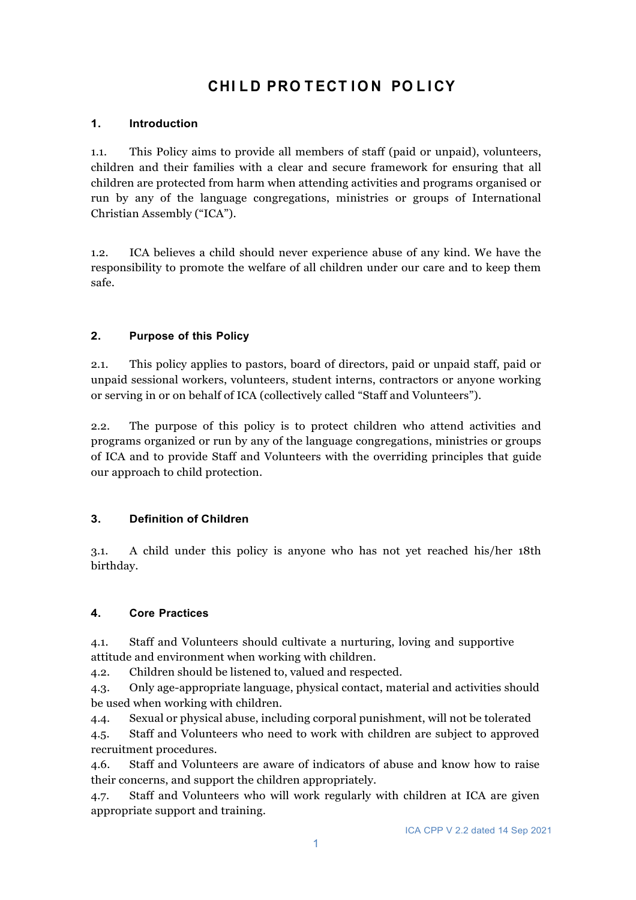# **CHI L D PRO T ECT I O N PO L I CY**

## **1. Introduction**

1.1. This Policy aims to provide all members of staff (paid or unpaid), volunteers, children and their families with a clear and secure framework for ensuring that all children are protected from harm when attending activities and programs organised or run by any of the language congregations, ministries or groups of International Christian Assembly ("ICA").

1.2. ICA believes a child should never experience abuse of any kind. We have the responsibility to promote the welfare of all children under our care and to keep them safe.

### **2. Purpose of this Policy**

2.1. This policy applies to pastors, board of directors, paid or unpaid staff, paid or unpaid sessional workers, volunteers, student interns, contractors or anyone working or serving in or on behalf of ICA (collectively called "Staff and Volunteers").

2.2. The purpose of this policy is to protect children who attend activities and programs organized or run by any of the language congregations, ministries or groups of ICA and to provide Staff and Volunteers with the overriding principles that guide our approach to child protection.

#### **3. Definition of Children**

3.1. A child under this policy is anyone who has not yet reached his/her 18th birthday.

#### **4. Core Practices**

4.1. Staff and Volunteers should cultivate a nurturing, loving and supportive attitude and environment when working with children.

4.2. Children should be listened to, valued and respected.

4.3. Only age-appropriate language, physical contact, material and activities should be used when working with children.

4.4. Sexual or physical abuse, including corporal punishment, will not be tolerated

4.5. Staff and Volunteers who need to work with children are subject to approved recruitment procedures.

4.6. Staff and Volunteers are aware of indicators of abuse and know how to raise their concerns, and support the children appropriately.

4.7. Staff and Volunteers who will work regularly with children at ICA are given appropriate support and training.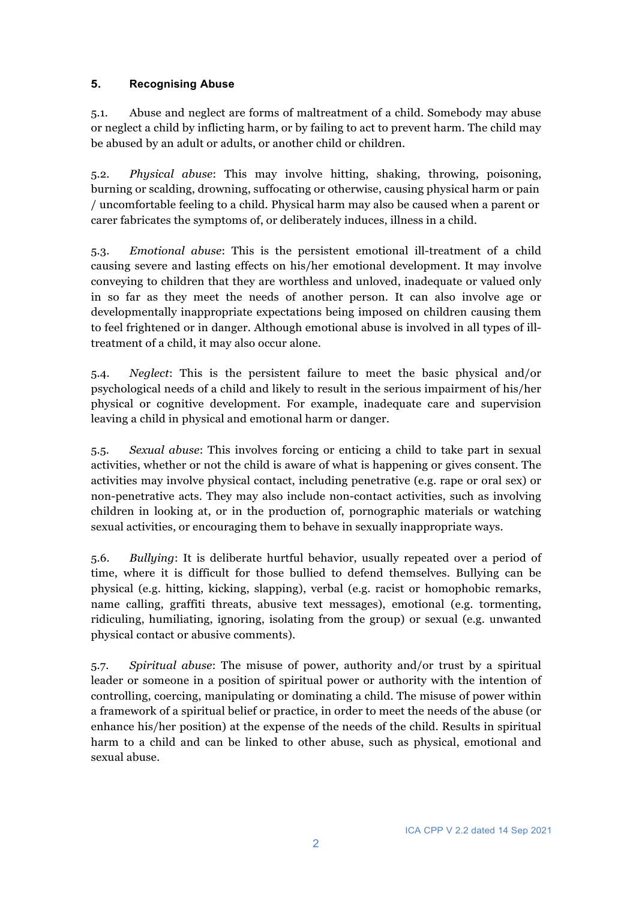# **5. Recognising Abuse**

5.1. Abuse and neglect are forms of maltreatment of a child. Somebody may abuse or neglect a child by inflicting harm, or by failing to act to prevent harm. The child may be abused by an adult or adults, or another child or children.

5.2. *Physical abuse*: This may involve hitting, shaking, throwing, poisoning, burning or scalding, drowning, suffocating or otherwise, causing physical harm or pain / uncomfortable feeling to a child. Physical harm may also be caused when a parent or carer fabricates the symptoms of, or deliberately induces, illness in a child.

5.3. *Emotional abuse*: This is the persistent emotional ill-treatment of a child causing severe and lasting effects on his/her emotional development. It may involve conveying to children that they are worthless and unloved, inadequate or valued only in so far as they meet the needs of another person. It can also involve age or developmentally inappropriate expectations being imposed on children causing them to feel frightened or in danger. Although emotional abuse is involved in all types of illtreatment of a child, it may also occur alone.

5.4. *Neglect*: This is the persistent failure to meet the basic physical and/or psychological needs of a child and likely to result in the serious impairment of his/her physical or cognitive development. For example, inadequate care and supervision leaving a child in physical and emotional harm or danger.

5.5. *Sexual abuse*: This involves forcing or enticing a child to take part in sexual activities, whether or not the child is aware of what is happening or gives consent. The activities may involve physical contact, including penetrative (e.g. rape or oral sex) or non-penetrative acts. They may also include non-contact activities, such as involving children in looking at, or in the production of, pornographic materials or watching sexual activities, or encouraging them to behave in sexually inappropriate ways.

5.6. *Bullying*: It is deliberate hurtful behavior, usually repeated over a period of time, where it is difficult for those bullied to defend themselves. Bullying can be physical (e.g. hitting, kicking, slapping), verbal (e.g. racist or homophobic remarks, name calling, graffiti threats, abusive text messages), emotional (e.g. tormenting, ridiculing, humiliating, ignoring, isolating from the group) or sexual (e.g. unwanted physical contact or abusive comments).

5.7. *Spiritual abuse*: The misuse of power, authority and/or trust by a spiritual leader or someone in a position of spiritual power or authority with the intention of controlling, coercing, manipulating or dominating a child. The misuse of power within a framework of a spiritual belief or practice, in order to meet the needs of the abuse (or enhance his/her position) at the expense of the needs of the child. Results in spiritual harm to a child and can be linked to other abuse, such as physical, emotional and sexual abuse.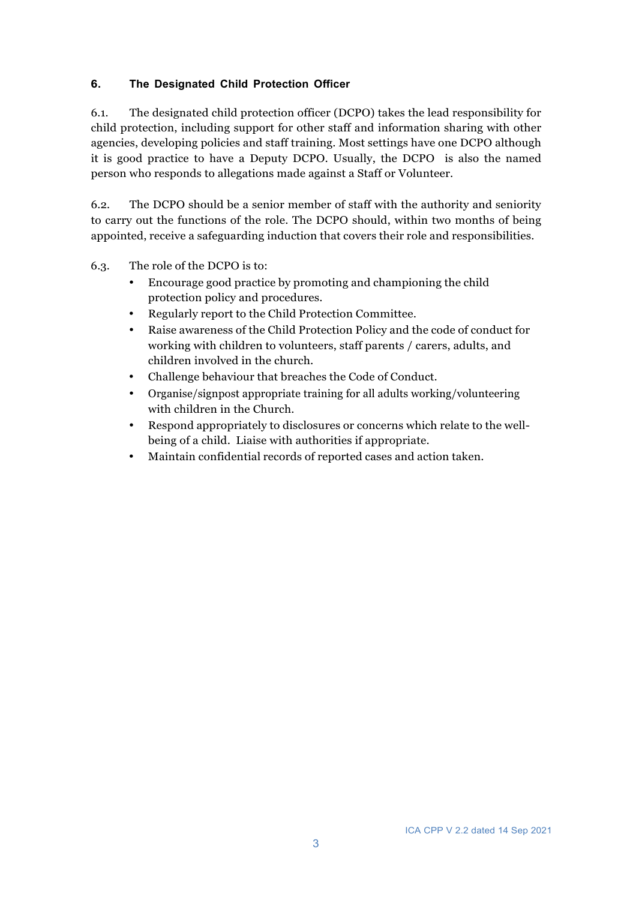## **6. The Designated Child Protection Officer**

6.1. The designated child protection officer (DCPO) takes the lead responsibility for child protection, including support for other staff and information sharing with other agencies, developing policies and staff training. Most settings have one DCPO although it is good practice to have a Deputy DCPO. Usually, the DCPO is also the named person who responds to allegations made against a Staff or Volunteer.

6.2. The DCPO should be a senior member of staff with the authority and seniority to carry out the functions of the role. The DCPO should, within two months of being appointed, receive a safeguarding induction that covers their role and responsibilities.

- 6.3. The role of the DCPO is to:
	- Encourage good practice by promoting and championing the child protection policy and procedures.
	- Regularly report to the Child Protection Committee.
	- Raise awareness of the Child Protection Policy and the code of conduct for working with children to volunteers, staff parents / carers, adults, and children involved in the church.
	- Challenge behaviour that breaches the Code of Conduct.
	- Organise/signpost appropriate training for all adults working/volunteering with children in the Church.
	- Respond appropriately to disclosures or concerns which relate to the wellbeing of a child. Liaise with authorities if appropriate.
	- Maintain confidential records of reported cases and action taken.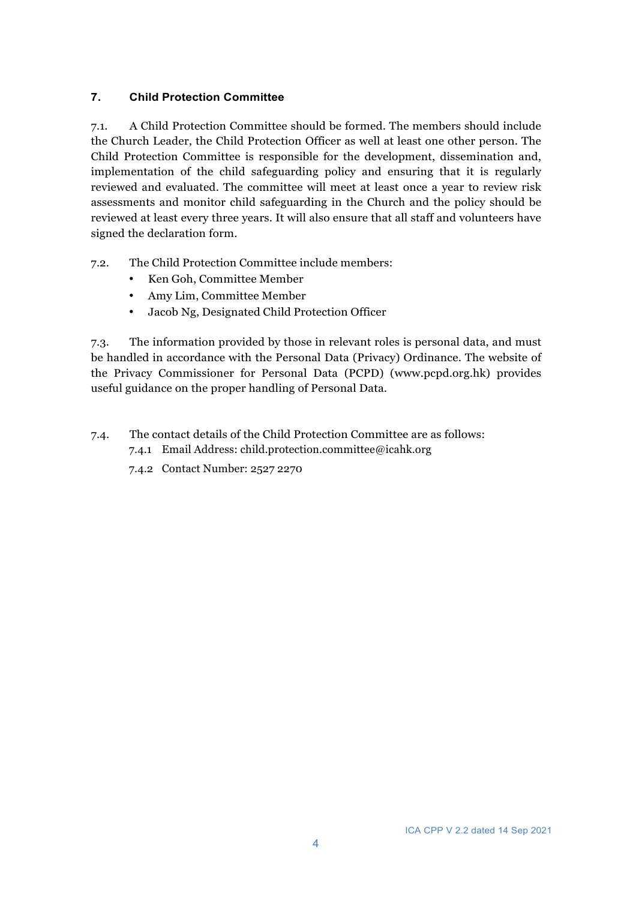# **7. Child Protection Committee**

7.1. A Child Protection Committee should be formed. The members should include the Church Leader, the Child Protection Officer as well at least one other person. The Child Protection Committee is responsible for the development, dissemination and, implementation of the child safeguarding policy and ensuring that it is regularly reviewed and evaluated. The committee will meet at least once a year to review risk assessments and monitor child safeguarding in the Church and the policy should be reviewed at least every three years. It will also ensure that all staff and volunteers have signed the declaration form.

- 7.2. The Child Protection Committee include members:
	- Ken Goh, Committee Member
	- Amy Lim, Committee Member
	- Jacob Ng, Designated Child Protection Officer

7.3. The information provided by those in relevant roles is personal data, and must be handled in accordance with the Personal Data (Privacy) Ordinance. The website of the Privacy Commissioner for Personal Data (PCPD) (www.pcpd.org.hk) provides useful guidance on the proper handling of Personal Data.

- 7.4. The contact details of the Child Protection Committee are as follows:
	- 7.4.1 Email Address: child.protection.committee@icahk.org
	- 7.4.2 Contact Number: 2527 2270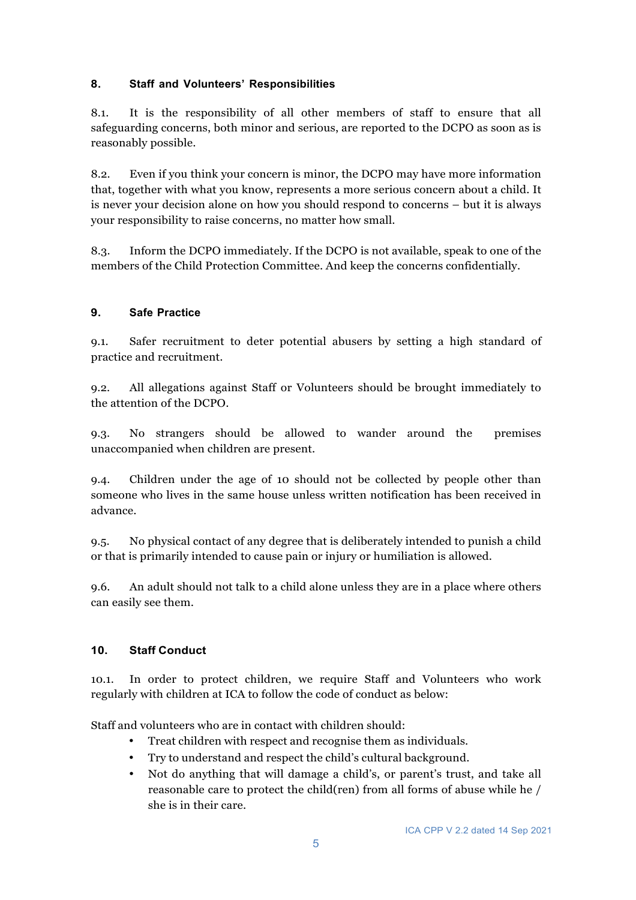# **8. Staff and Volunteers' Responsibilities**

8.1. It is the responsibility of all other members of staff to ensure that all safeguarding concerns, both minor and serious, are reported to the DCPO as soon as is reasonably possible.

8.2. Even if you think your concern is minor, the DCPO may have more information that, together with what you know, represents a more serious concern about a child. It is never your decision alone on how you should respond to concerns – but it is always your responsibility to raise concerns, no matter how small.

8.3. Inform the DCPO immediately. If the DCPO is not available, speak to one of the members of the Child Protection Committee. And keep the concerns confidentially.

### **9. Safe Practice**

9.1. Safer recruitment to deter potential abusers by setting a high standard of practice and recruitment.

9.2. All allegations against Staff or Volunteers should be brought immediately to the attention of the DCPO.

9.3. No strangers should be allowed to wander around the premises unaccompanied when children are present.

9.4. Children under the age of 10 should not be collected by people other than someone who lives in the same house unless written notification has been received in advance.

9.5. No physical contact of any degree that is deliberately intended to punish a child or that is primarily intended to cause pain or injury or humiliation is allowed.

9.6. An adult should not talk to a child alone unless they are in a place where others can easily see them.

#### **10. Staff Conduct**

10.1. In order to protect children, we require Staff and Volunteers who work regularly with children at ICA to follow the code of conduct as below:

Staff and volunteers who are in contact with children should:

- Treat children with respect and recognise them as individuals.
- Try to understand and respect the child's cultural background.
- Not do anything that will damage a child's, or parent's trust, and take all reasonable care to protect the child(ren) from all forms of abuse while he / she is in their care.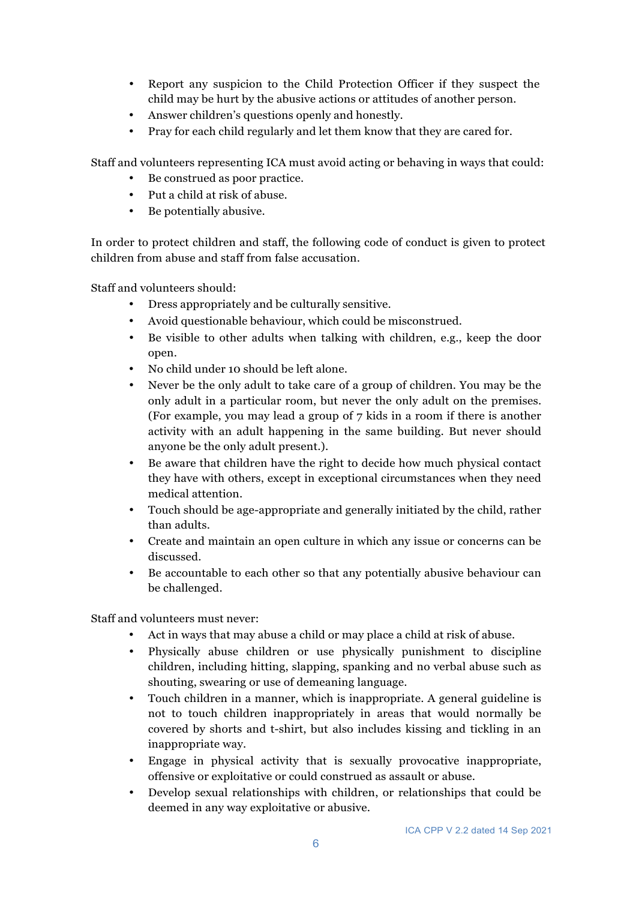- Report any suspicion to the Child Protection Officer if they suspect the child may be hurt by the abusive actions or attitudes of another person.
- Answer children's questions openly and honestly.
- Pray for each child regularly and let them know that they are cared for.

Staff and volunteers representing ICA must avoid acting or behaving in ways that could:

- Be construed as poor practice.
- Put a child at risk of abuse.
- Be potentially abusive.

In order to protect children and staff, the following code of conduct is given to protect children from abuse and staff from false accusation.

Staff and volunteers should:

- Dress appropriately and be culturally sensitive.
- Avoid questionable behaviour, which could be misconstrued.
- Be visible to other adults when talking with children, e.g., keep the door open.
- No child under 10 should be left alone.
- Never be the only adult to take care of a group of children. You may be the only adult in a particular room, but never the only adult on the premises. (For example, you may lead a group of 7 kids in a room if there is another activity with an adult happening in the same building. But never should anyone be the only adult present.).
- Be aware that children have the right to decide how much physical contact they have with others, except in exceptional circumstances when they need medical attention.
- Touch should be age-appropriate and generally initiated by the child, rather than adults.
- Create and maintain an open culture in which any issue or concerns can be discussed.
- Be accountable to each other so that any potentially abusive behaviour can be challenged.

Staff and volunteers must never:

- Act in ways that may abuse a child or may place a child at risk of abuse.
- Physically abuse children or use physically punishment to discipline children, including hitting, slapping, spanking and no verbal abuse such as shouting, swearing or use of demeaning language.
- Touch children in a manner, which is inappropriate. A general guideline is not to touch children inappropriately in areas that would normally be covered by shorts and t-shirt, but also includes kissing and tickling in an inappropriate way.
- Engage in physical activity that is sexually provocative inappropriate, offensive or exploitative or could construed as assault or abuse.
- Develop sexual relationships with children, or relationships that could be deemed in any way exploitative or abusive.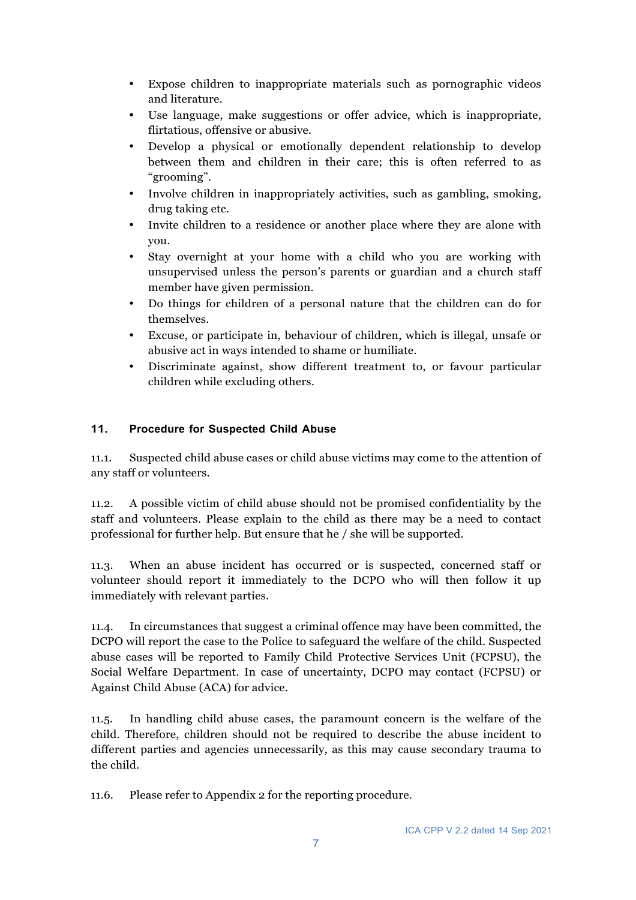- Expose children to inappropriate materials such as pornographic videos and literature.
- Use language, make suggestions or offer advice, which is inappropriate, flirtatious, offensive or abusive.
- Develop a physical or emotionally dependent relationship to develop between them and children in their care; this is often referred to as "grooming".
- Involve children in inappropriately activities, such as gambling, smoking, drug taking etc.
- Invite children to a residence or another place where they are alone with you.
- Stay overnight at your home with a child who you are working with unsupervised unless the person's parents or guardian and a church staff member have given permission.
- Do things for children of a personal nature that the children can do for themselves.
- Excuse, or participate in, behaviour of children, which is illegal, unsafe or abusive act in ways intended to shame or humiliate.
- Discriminate against, show different treatment to, or favour particular children while excluding others.

### **11. Procedure for Suspected Child Abuse**

11.1. Suspected child abuse cases or child abuse victims may come to the attention of any staff or volunteers.

11.2. A possible victim of child abuse should not be promised confidentiality by the staff and volunteers. Please explain to the child as there may be a need to contact professional for further help. But ensure that he / she will be supported.

11.3. When an abuse incident has occurred or is suspected, concerned staff or volunteer should report it immediately to the DCPO who will then follow it up immediately with relevant parties.

11.4. In circumstances that suggest a criminal offence may have been committed, the DCPO will report the case to the Police to safeguard the welfare of the child. Suspected abuse cases will be reported to Family Child Protective Services Unit (FCPSU), the Social Welfare Department. In case of uncertainty, DCPO may contact (FCPSU) or Against Child Abuse (ACA) for advice.

11.5. In handling child abuse cases, the paramount concern is the welfare of the child. Therefore, children should not be required to describe the abuse incident to different parties and agencies unnecessarily, as this may cause secondary trauma to the child.

11.6. Please refer to Appendix 2 for the reporting procedure.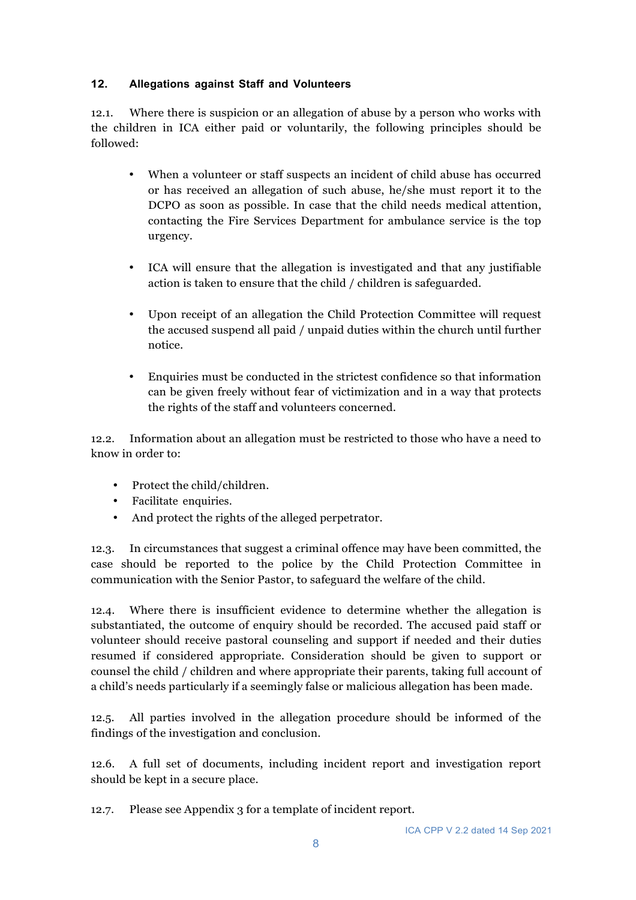## **12. Allegations against Staff and Volunteers**

12.1. Where there is suspicion or an allegation of abuse by a person who works with the children in ICA either paid or voluntarily, the following principles should be followed:

- When a volunteer or staff suspects an incident of child abuse has occurred or has received an allegation of such abuse, he/she must report it to the DCPO as soon as possible. In case that the child needs medical attention, contacting the Fire Services Department for ambulance service is the top urgency.
- ICA will ensure that the allegation is investigated and that any justifiable action is taken to ensure that the child / children is safeguarded.
- Upon receipt of an allegation the Child Protection Committee will request the accused suspend all paid / unpaid duties within the church until further notice.
- Enquiries must be conducted in the strictest confidence so that information can be given freely without fear of victimization and in a way that protects the rights of the staff and volunteers concerned.

12.2. Information about an allegation must be restricted to those who have a need to know in order to:

- Protect the child/children.
- Facilitate enquiries.
- And protect the rights of the alleged perpetrator.

12.3. In circumstances that suggest a criminal offence may have been committed, the case should be reported to the police by the Child Protection Committee in communication with the Senior Pastor, to safeguard the welfare of the child.

12.4. Where there is insufficient evidence to determine whether the allegation is substantiated, the outcome of enquiry should be recorded. The accused paid staff or volunteer should receive pastoral counseling and support if needed and their duties resumed if considered appropriate. Consideration should be given to support or counsel the child / children and where appropriate their parents, taking full account of a child's needs particularly if a seemingly false or malicious allegation has been made.

12.5. All parties involved in the allegation procedure should be informed of the findings of the investigation and conclusion.

12.6. A full set of documents, including incident report and investigation report should be kept in a secure place.

12.7. Please see Appendix 3 for a template of incident report.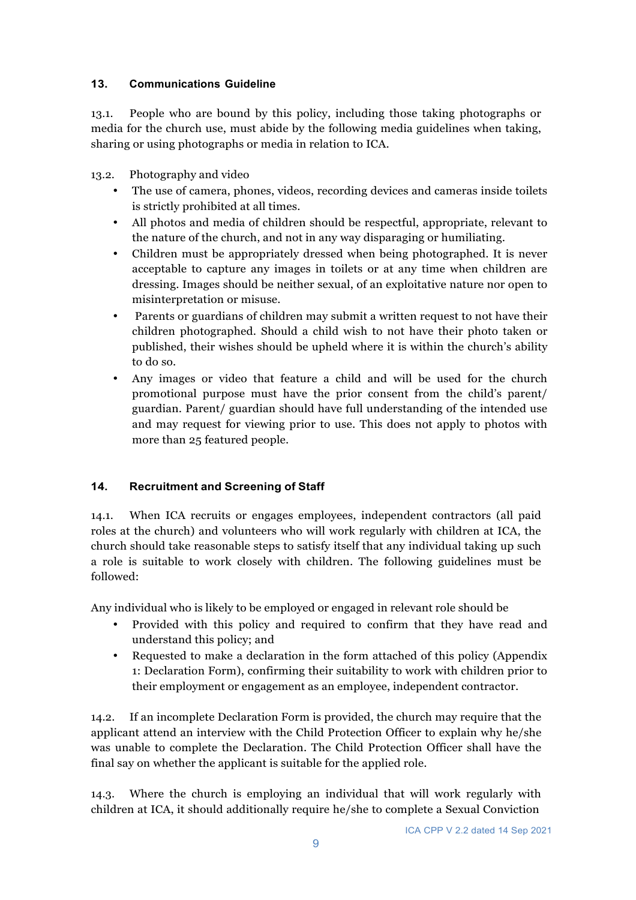## **13. Communications Guideline**

13.1. People who are bound by this policy, including those taking photographs or media for the church use, must abide by the following media guidelines when taking, sharing or using photographs or media in relation to ICA.

13.2. Photography and video

- The use of camera, phones, videos, recording devices and cameras inside toilets is strictly prohibited at all times.
- All photos and media of children should be respectful, appropriate, relevant to the nature of the church, and not in any way disparaging or humiliating.
- Children must be appropriately dressed when being photographed. It is never acceptable to capture any images in toilets or at any time when children are dressing. Images should be neither sexual, of an exploitative nature nor open to misinterpretation or misuse.
- Parents or guardians of children may submit a written request to not have their children photographed. Should a child wish to not have their photo taken or published, their wishes should be upheld where it is within the church's ability to do so.
- Any images or video that feature a child and will be used for the church promotional purpose must have the prior consent from the child's parent/ guardian. Parent/ guardian should have full understanding of the intended use and may request for viewing prior to use. This does not apply to photos with more than 25 featured people.

# **14. Recruitment and Screening of Staff**

14.1. When ICA recruits or engages employees, independent contractors (all paid roles at the church) and volunteers who will work regularly with children at ICA, the church should take reasonable steps to satisfy itself that any individual taking up such a role is suitable to work closely with children. The following guidelines must be followed:

Any individual who is likely to be employed or engaged in relevant role should be

- Provided with this policy and required to confirm that they have read and understand this policy; and
- Requested to make a declaration in the form attached of this policy (Appendix 1: Declaration Form), confirming their suitability to work with children prior to their employment or engagement as an employee, independent contractor.

14.2. If an incomplete Declaration Form is provided, the church may require that the applicant attend an interview with the Child Protection Officer to explain why he/she was unable to complete the Declaration. The Child Protection Officer shall have the final say on whether the applicant is suitable for the applied role.

14.3. Where the church is employing an individual that will work regularly with children at ICA, it should additionally require he/she to complete a Sexual Conviction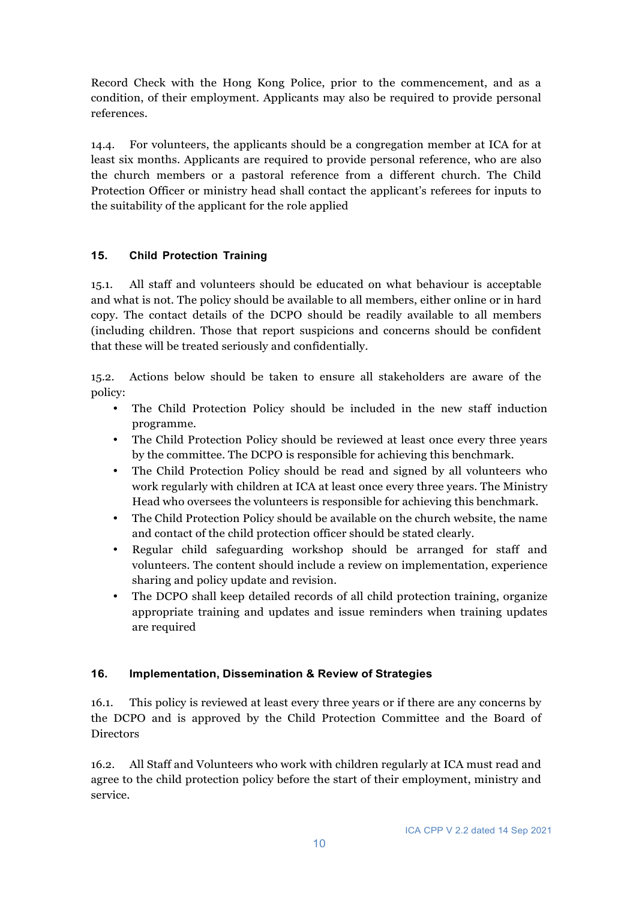Record Check with the Hong Kong Police, prior to the commencement, and as a condition, of their employment. Applicants may also be required to provide personal references.

14.4. For volunteers, the applicants should be a congregation member at ICA for at least six months. Applicants are required to provide personal reference, who are also the church members or a pastoral reference from a different church. The Child Protection Officer or ministry head shall contact the applicant's referees for inputs to the suitability of the applicant for the role applied

# **15. Child Protection Training**

15.1. All staff and volunteers should be educated on what behaviour is acceptable and what is not. The policy should be available to all members, either online or in hard copy. The contact details of the DCPO should be readily available to all members (including children. Those that report suspicions and concerns should be confident that these will be treated seriously and confidentially.

15.2. Actions below should be taken to ensure all stakeholders are aware of the policy:

- The Child Protection Policy should be included in the new staff induction programme.
- The Child Protection Policy should be reviewed at least once every three years by the committee. The DCPO is responsible for achieving this benchmark.
- The Child Protection Policy should be read and signed by all volunteers who work regularly with children at ICA at least once every three years. The Ministry Head who oversees the volunteers is responsible for achieving this benchmark.
- The Child Protection Policy should be available on the church website, the name and contact of the child protection officer should be stated clearly.
- Regular child safeguarding workshop should be arranged for staff and volunteers. The content should include a review on implementation, experience sharing and policy update and revision.
- The DCPO shall keep detailed records of all child protection training, organize appropriate training and updates and issue reminders when training updates are required

#### **16. Implementation, Dissemination & Review of Strategies**

16.1. This policy is reviewed at least every three years or if there are any concerns by the DCPO and is approved by the Child Protection Committee and the Board of Directors

16.2. All Staff and Volunteers who work with children regularly at ICA must read and agree to the child protection policy before the start of their employment, ministry and service.